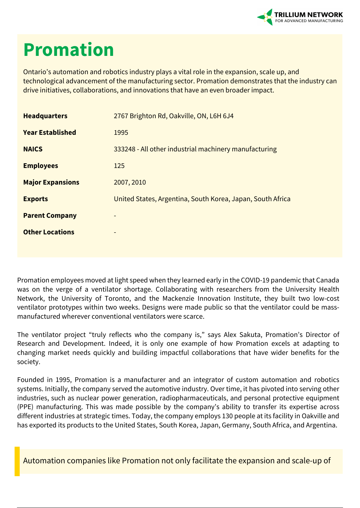

## **Promation**

Ontario's automation and robotics industry plays a vital role in the expansion, scale up, and technological advancement of the manufacturing sector. Promation demonstrates that the industry can drive initiatives, collaborations, and innovations that have an even broader impact.

| <b>Headquarters</b>     | 2767 Brighton Rd, Oakville, ON, L6H 6J4                    |
|-------------------------|------------------------------------------------------------|
| <b>Year Established</b> | 1995                                                       |
| <b>NAICS</b>            | 333248 - All other industrial machinery manufacturing      |
| <b>Employees</b>        | 125                                                        |
| <b>Major Expansions</b> | 2007, 2010                                                 |
| <b>Exports</b>          | United States, Argentina, South Korea, Japan, South Africa |
| <b>Parent Company</b>   |                                                            |
| <b>Other Locations</b>  |                                                            |
|                         |                                                            |

Promation employees moved at light speed when they learned early in the COVID-19 pandemic that Canada was on the verge of a ventilator shortage. Collaborating with researchers from the University Health Network, the University of Toronto, and the Mackenzie Innovation Institute, they built two low-cost ventilator prototypes within two weeks. Designs were made public so that the ventilator could be massmanufactured wherever conventional ventilators were scarce.

The ventilator project "truly reflects who the company is," says Alex Sakuta, Promation's Director of Research and Development. Indeed, it is only one example of how Promation excels at adapting to changing market needs quickly and building impactful collaborations that have wider benefits for the society.

Founded in 1995, Promation is a manufacturer and an integrator of custom automation and robotics systems. Initially, the company served the automotive industry. Over time, it has pivoted into serving other industries, such as nuclear power generation, radiopharmaceuticals, and personal protective equipment (PPE) manufacturing. This was made possible by the company's ability to transfer its expertise across different industries at strategic times. Today, the company employs 130 people at its facility in Oakville and has exported its products to the United States, South Korea, Japan, Germany, South Africa, and Argentina.

Automation companies like Promation not only facilitate the expansion and scale-up of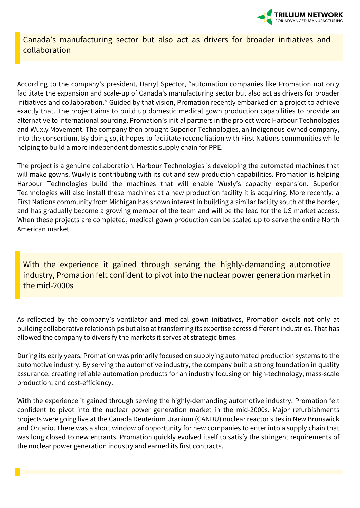

Canada's manufacturing sector but also act as drivers for broader initiatives and collaboration

According to the company's president, Darryl Spector, "automation companies like Promation not only facilitate the expansion and scale-up of Canada's manufacturing sector but also act as drivers for broader initiatives and collaboration." Guided by that vision, Promation recently embarked on a project to achieve exactly that. The project aims to build up domestic medical gown production capabilities to provide an alternative to international sourcing. Promation's initial partners in the project were Harbour Technologies and Wuxly Movement. The company then brought Superior Technologies, an Indigenous-owned company, into the consortium. By doing so, it hopes to facilitate reconciliation with First Nations communities while helping to build a more independent domestic supply chain for PPE.

The project is a genuine collaboration. Harbour Technologies is developing the automated machines that will make gowns. Wuxly is contributing with its cut and sew production capabilities. Promation is helping Harbour Technologies build the machines that will enable Wuxly's capacity expansion. Superior Technologies will also install these machines at a new production facility it is acquiring. More recently, a First Nations community from Michigan has shown interest in building a similar facility south of the border, and has gradually become a growing member of the team and will be the lead for the US market access. When these projects are completed, medical gown production can be scaled up to serve the entire North American market.

With the experience it gained through serving the highly-demanding automotive industry, Promation felt confident to pivot into the nuclear power generation market in the mid-2000s

As reflected by the company's ventilator and medical gown initiatives, Promation excels not only at building collaborative relationships but also at transferring its expertise across different industries. That has allowed the company to diversify the markets it serves at strategic times.

During its early years, Promation was primarily focused on supplying automated production systems to the automotive industry. By serving the automotive industry, the company built a strong foundation in quality assurance, creating reliable automation products for an industry focusing on high-technology, mass-scale production, and cost-efficiency.

With the experience it gained through serving the highly-demanding automotive industry, Promation felt confident to pivot into the nuclear power generation market in the mid-2000s. Major refurbishments projects were going live at the Canada Deuterium Uranium (CANDU) nuclear reactor sites in New Brunswick and Ontario. There was a short window of opportunity for new companies to enter into a supply chain that was long closed to new entrants. Promation quickly evolved itself to satisfy the stringent requirements of the nuclear power generation industry and earned its first contracts.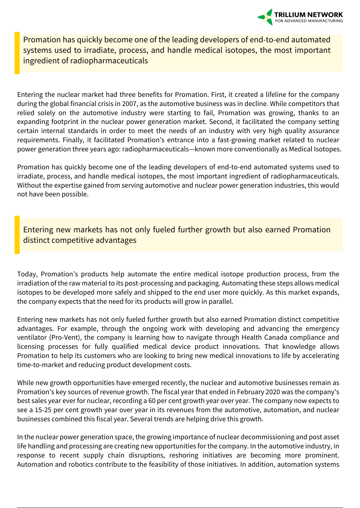

Promation has quickly become one of the leading developers of end-to-end automated systems used to irradiate, process, and handle medical isotopes, the most important ingredient of radiopharmaceuticals

Entering the nuclear market had three benefits for Promation. First, it created a lifeline for the company during the global financial crisis in 2007, as the automotive business was in decline. While competitors that relied solely on the automotive industry were starting to fail, Promation was growing, thanks to an expanding footprint in the nuclear power generation market. Second, it facilitated the company setting certain internal standards in order to meet the needs of an industry with very high quality assurance requirements. Finally, it facilitated Promation's entrance into a fast-growing market related to nuclear power generation three years ago: radiopharmaceuticals—known more conventionally as Medical Isotopes.

Promation has quickly become one of the leading developers of end-to-end automated systems used to irradiate, process, and handle medical isotopes, the most important ingredient of radiopharmaceuticals. Without the expertise gained from serving automotive and nuclear power generation industries, this would not have been possible.

Entering new markets has not only fueled further growth but also earned Promation distinct competitive advantages

Today, Promation's products help automate the entire medical isotope production process, from the irradiation of the raw material to its post-processing and packaging. Automating these steps allows medical isotopes to be developed more safely and shipped to the end user more quickly. As this market expands, the company expects that the need for its products will grow in parallel.

Entering new markets has not only fueled further growth but also earned Promation distinct competitive advantages. For example, through the ongoing work with developing and advancing the emergency ventilator (Pro-Vent), the company is learning how to navigate through Health Canada compliance and licensing processes for fully qualified medical device product innovations. That knowledge allows Promation to help its customers who are looking to bring new medical innovations to life by accelerating time-to-market and reducing product development costs.

While new growth opportunities have emerged recently, the nuclear and automotive businesses remain as Promation's key sources of revenue growth. The fiscal year that ended in February 2020 was the company's best sales year ever for nuclear, recording a 60 per cent growth year over year. The company now expects to see a 15-25 per cent growth year over year in its revenues from the automotive, automation, and nuclear businesses combined this fiscal year. Several trends are helping drive this growth.

In the nuclear power generation space, the growing importance of nuclear decommissioning and post asset life handling and processing are creating new opportunities for the company. In the automotive industry, in response to recent supply chain disruptions, reshoring initiatives are becoming more prominent. Automation and robotics contribute to the feasibility of those initiatives. In addition, automation systems